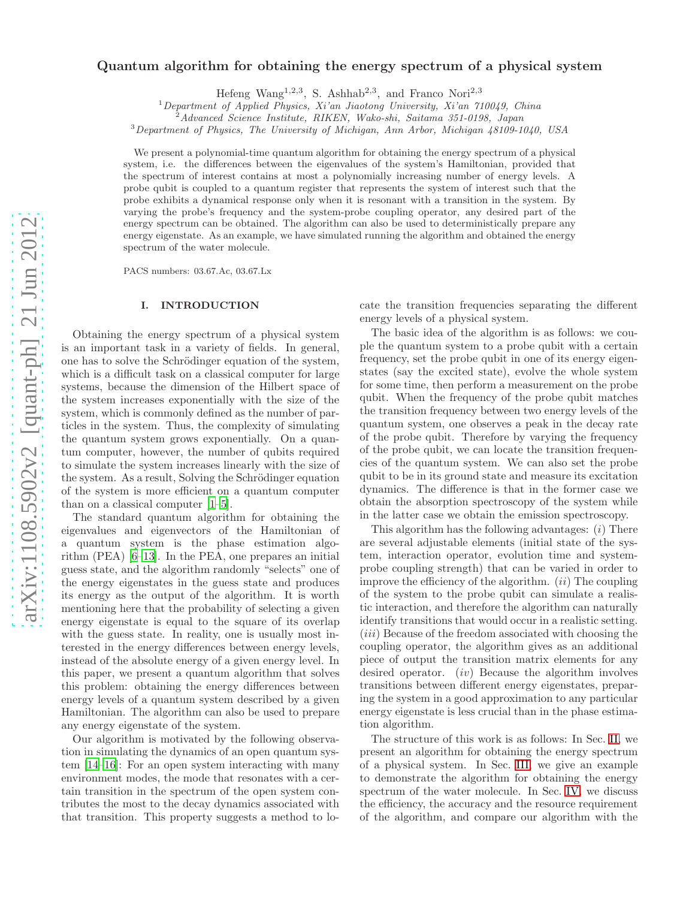# arXiv:1108.5902v2 [quant-ph] 21 Jun 2012 [arXiv:1108.5902v2 \[quant-ph\] 21 Jun 2012](http://arxiv.org/abs/1108.5902v2)

# Quantum algorithm for obtaining the energy spectrum of a physical system

Hefeng Wang<sup>1,2,3</sup>, S. Ashhab<sup>2,3</sup>, and Franco Nori<sup>2,3</sup>

<sup>1</sup>Department of Applied Physics, Xi'an Jiaotong University, Xi'an 710049, China

<sup>2</sup>Advanced Science Institute, RIKEN, Wako-shi, Saitama 351-0198, Japan

<sup>3</sup>Department of Physics, The University of Michigan, Ann Arbor, Michigan 48109-1040, USA

We present a polynomial-time quantum algorithm for obtaining the energy spectrum of a physical system, i.e. the differences between the eigenvalues of the system's Hamiltonian, provided that the spectrum of interest contains at most a polynomially increasing number of energy levels. A probe qubit is coupled to a quantum register that represents the system of interest such that the probe exhibits a dynamical response only when it is resonant with a transition in the system. By varying the probe's frequency and the system-probe coupling operator, any desired part of the energy spectrum can be obtained. The algorithm can also be used to deterministically prepare any energy eigenstate. As an example, we have simulated running the algorithm and obtained the energy spectrum of the water molecule.

PACS numbers: 03.67.Ac, 03.67.Lx

### I. INTRODUCTION

Obtaining the energy spectrum of a physical system is an important task in a variety of fields. In general, one has to solve the Schrödinger equation of the system, which is a difficult task on a classical computer for large systems, because the dimension of the Hilbert space of the system increases exponentially with the size of the system, which is commonly defined as the number of particles in the system. Thus, the complexity of simulating the quantum system grows exponentially. On a quantum computer, however, the number of qubits required to simulate the system increases linearly with the size of the system. As a result, Solving the Schrödinger equation of the system is more efficient on a quantum computer than on a classical computer [\[1](#page-5-0)[–5\]](#page-5-1).

The standard quantum algorithm for obtaining the eigenvalues and eigenvectors of the Hamiltonian of a quantum system is the phase estimation algorithm (PEA) [\[6](#page-5-2)[–13](#page-5-3)]. In the PEA, one prepares an initial guess state, and the algorithm randomly "selects" one of the energy eigenstates in the guess state and produces its energy as the output of the algorithm. It is worth mentioning here that the probability of selecting a given energy eigenstate is equal to the square of its overlap with the guess state. In reality, one is usually most interested in the energy differences between energy levels, instead of the absolute energy of a given energy level. In this paper, we present a quantum algorithm that solves this problem: obtaining the energy differences between energy levels of a quantum system described by a given Hamiltonian. The algorithm can also be used to prepare any energy eigenstate of the system.

Our algorithm is motivated by the following observation in simulating the dynamics of an open quantum system [\[14](#page-5-4)[–16\]](#page-5-5): For an open system interacting with many environment modes, the mode that resonates with a certain transition in the spectrum of the open system contributes the most to the decay dynamics associated with that transition. This property suggests a method to lo-

cate the transition frequencies separating the different energy levels of a physical system.

The basic idea of the algorithm is as follows: we couple the quantum system to a probe qubit with a certain frequency, set the probe qubit in one of its energy eigenstates (say the excited state), evolve the whole system for some time, then perform a measurement on the probe qubit. When the frequency of the probe qubit matches the transition frequency between two energy levels of the quantum system, one observes a peak in the decay rate of the probe qubit. Therefore by varying the frequency of the probe qubit, we can locate the transition frequencies of the quantum system. We can also set the probe qubit to be in its ground state and measure its excitation dynamics. The difference is that in the former case we obtain the absorption spectroscopy of the system while in the latter case we obtain the emission spectroscopy.

This algorithm has the following advantages:  $(i)$  There are several adjustable elements (initial state of the system, interaction operator, evolution time and systemprobe coupling strength) that can be varied in order to improve the efficiency of the algorithm.  $(ii)$  The coupling of the system to the probe qubit can simulate a realistic interaction, and therefore the algorithm can naturally identify transitions that would occur in a realistic setting. (*iii*) Because of the freedom associated with choosing the coupling operator, the algorithm gives as an additional piece of output the transition matrix elements for any desired operator. (iv) Because the algorithm involves transitions between different energy eigenstates, preparing the system in a good approximation to any particular energy eigenstate is less crucial than in the phase estimation algorithm.

The structure of this work is as follows: In Sec. [II,](#page-1-0) we present an algorithm for obtaining the energy spectrum of a physical system. In Sec. [III,](#page-2-0) we give an example to demonstrate the algorithm for obtaining the energy spectrum of the water molecule. In Sec. [IV,](#page-3-0) we discuss the efficiency, the accuracy and the resource requirement of the algorithm, and compare our algorithm with the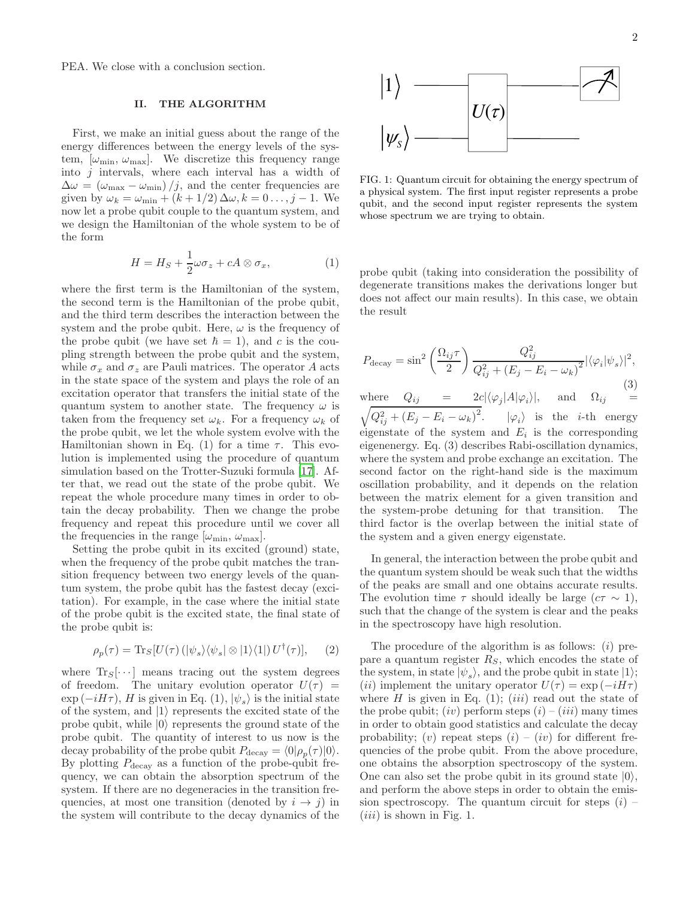PEA. We close with a conclusion section.

### <span id="page-1-0"></span>II. THE ALGORITHM

First, we make an initial guess about the range of the energy differences between the energy levels of the system,  $[\omega_{\text{min}}, \omega_{\text{max}}]$ . We discretize this frequency range into  $j$  intervals, where each interval has a width of  $\Delta\omega = (\omega_{\text{max}} - \omega_{\text{min}})/j$ , and the center frequencies are given by  $\omega_k = \omega_{\min} + (k + 1/2) \Delta \omega, k = 0 \ldots, j - 1$ . We now let a probe qubit couple to the quantum system, and we design the Hamiltonian of the whole system to be of the form

$$
H = H_S + \frac{1}{2}\omega\sigma_z + cA \otimes \sigma_x, \tag{1}
$$

where the first term is the Hamiltonian of the system, the second term is the Hamiltonian of the probe qubit, and the third term describes the interaction between the system and the probe qubit. Here,  $\omega$  is the frequency of the probe qubit (we have set  $\hbar = 1$ ), and c is the coupling strength between the probe qubit and the system, while  $\sigma_x$  and  $\sigma_z$  are Pauli matrices. The operator A acts in the state space of the system and plays the role of an excitation operator that transfers the initial state of the quantum system to another state. The frequency  $\omega$  is taken from the frequency set  $\omega_k$ . For a frequency  $\omega_k$  of the probe qubit, we let the whole system evolve with the Hamiltonian shown in Eq. (1) for a time  $\tau$ . This evolution is implemented using the procedure of quantum simulation based on the Trotter-Suzuki formula [\[17\]](#page-5-6). After that, we read out the state of the probe qubit. We repeat the whole procedure many times in order to obtain the decay probability. Then we change the probe frequency and repeat this procedure until we cover all the frequencies in the range  $[\omega_{\text{min}}, \omega_{\text{max}}]$ .

Setting the probe qubit in its excited (ground) state, when the frequency of the probe qubit matches the transition frequency between two energy levels of the quantum system, the probe qubit has the fastest decay (excitation). For example, in the case where the initial state of the probe qubit is the excited state, the final state of the probe qubit is:

$$
\rho_p(\tau) = \text{Tr}_S[U(\tau) \left( |\psi_s\rangle \langle \psi_s| \otimes |1\rangle \langle 1| \right) U^{\dagger}(\tau)], \quad (2)
$$

where  $\text{Tr}_{S}[\cdots]$  means tracing out the system degrees of freedom. The unitary evolution operator  $U(\tau)$  =  $\exp(-iH\tau)$ , H is given in Eq. (1),  $|\psi_s\rangle$  is the initial state of the system, and  $|1\rangle$  represents the excited state of the probe qubit, while  $|0\rangle$  represents the ground state of the probe qubit. The quantity of interest to us now is the decay probability of the probe qubit  $P_{\text{decay}} = \langle 0 | \rho_p(\tau) | 0 \rangle$ . By plotting  $P_{\text{decay}}$  as a function of the probe-qubit frequency, we can obtain the absorption spectrum of the system. If there are no degeneracies in the transition frequencies, at most one transition (denoted by  $i \rightarrow j$ ) in the system will contribute to the decay dynamics of the



FIG. 1: Quantum circuit for obtaining the energy spectrum of a physical system. The first input register represents a probe qubit, and the second input register represents the system whose spectrum we are trying to obtain.

probe qubit (taking into consideration the possibility of degenerate transitions makes the derivations longer but does not affect our main results). In this case, we obtain the result

$$
P_{\text{decay}} = \sin^2\left(\frac{\Omega_{ij}\tau}{2}\right) \frac{Q_{ij}^2}{Q_{ij}^2 + (E_j - E_i - \omega_k)^2} |\langle \varphi_i | \psi_s \rangle|^2,
$$
\n(3)

where  $Q_{ij} = 2c|\langle \varphi_j | A | \varphi_i \rangle|$ , and  $\Omega_{ij} =$ <br>  $\sqrt{Q_{ij}^2 + (E_j - E_i - \omega_k)^2}$ .  $|\varphi_i\rangle$  is the *i*-th energy eigenstate of the system and  $E_i$  is the corresponding eigenenergy. Eq. (3) describes Rabi-oscillation dynamics, where the system and probe exchange an excitation. The second factor on the right-hand side is the maximum oscillation probability, and it depends on the relation between the matrix element for a given transition and the system-probe detuning for that transition. The third factor is the overlap between the initial state of the system and a given energy eigenstate.

In general, the interaction between the probe qubit and the quantum system should be weak such that the widths of the peaks are small and one obtains accurate results. The evolution time  $\tau$  should ideally be large  $(c\tau \sim 1)$ , such that the change of the system is clear and the peaks in the spectroscopy have high resolution.

The procedure of the algorithm is as follows:  $(i)$  prepare a quantum register  $R<sub>S</sub>$ , which encodes the state of the system, in state  $|\psi_s\rangle$ , and the probe qubit in state  $|1\rangle$ ; (*ii*) implement the unitary operator  $U(\tau) = \exp(-iH\tau)$ where  $H$  is given in Eq. (1); (*iii*) read out the state of the probe qubit; (iv) perform steps  $(i) - (iii)$  many times in order to obtain good statistics and calculate the decay probability; (v) repeat steps  $(i) - (iv)$  for different frequencies of the probe qubit. From the above procedure, one obtains the absorption spectroscopy of the system. One can also set the probe qubit in its ground state  $|0\rangle$ , and perform the above steps in order to obtain the emission spectroscopy. The quantum circuit for steps  $(i)$  –  $(iii)$  is shown in Fig. 1.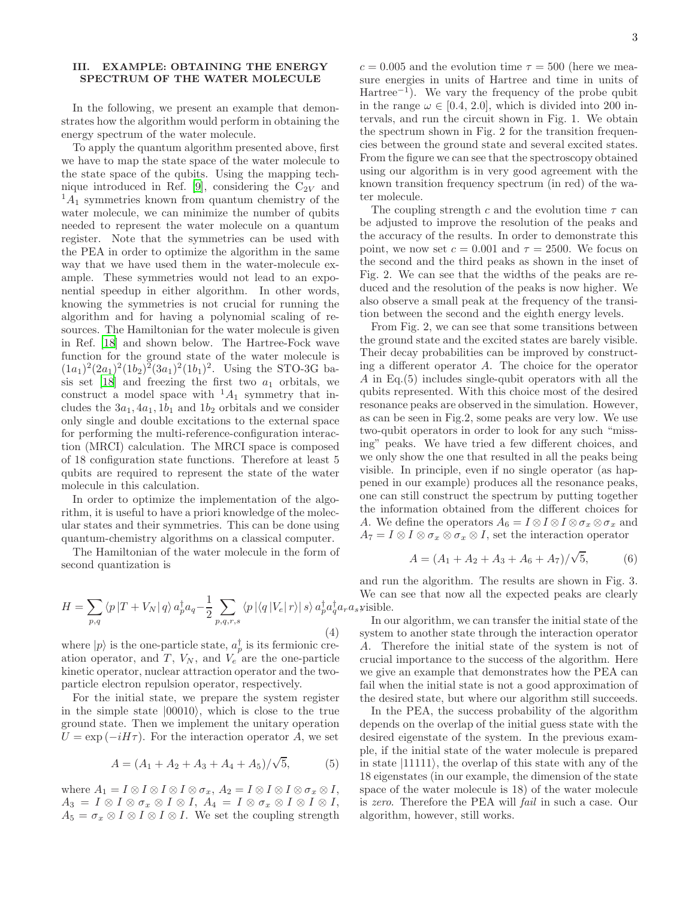# <span id="page-2-0"></span>III. EXAMPLE: OBTAINING THE ENERGY SPECTRUM OF THE WATER MOLECULE

In the following, we present an example that demonstrates how the algorithm would perform in obtaining the energy spectrum of the water molecule.

To apply the quantum algorithm presented above, first we have to map the state space of the water molecule to the state space of the qubits. Using the mapping tech-nique introduced in Ref. [\[9\]](#page-5-7), considering the  $C_{2V}$  and  ${}^{1}A_{1}$  symmetries known from quantum chemistry of the water molecule, we can minimize the number of qubits needed to represent the water molecule on a quantum register. Note that the symmetries can be used with the PEA in order to optimize the algorithm in the same way that we have used them in the water-molecule example. These symmetries would not lead to an exponential speedup in either algorithm. In other words, knowing the symmetries is not crucial for running the algorithm and for having a polynomial scaling of resources. The Hamiltonian for the water molecule is given in Ref. [\[18\]](#page-5-8) and shown below. The Hartree-Fock wave function for the ground state of the water molecule is  $(1a_1)^2(2a_1)^2(1b_2)^2(3a_1)^2(1b_1)^2$ . Using the STO-3G ba-sis set [\[18](#page-5-8)] and freezing the first two  $a_1$  orbitals, we construct a model space with  $^1A_1$  symmetry that includes the  $3a_1$ ,  $4a_1$ ,  $1b_1$  and  $1b_2$  orbitals and we consider only single and double excitations to the external space for performing the multi-reference-configuration interaction (MRCI) calculation. The MRCI space is composed of 18 configuration state functions. Therefore at least 5 qubits are required to represent the state of the water molecule in this calculation.

In order to optimize the implementation of the algorithm, it is useful to have a priori knowledge of the molecular states and their symmetries. This can be done using quantum-chemistry algorithms on a classical computer.

The Hamiltonian of the water molecule in the form of second quantization is

$$
H = \sum_{p,q} \langle p|T + V_N|q \rangle a_p^{\dagger} a_q - \frac{1}{2} \sum_{p,q,r,s} \langle p|\langle q|V_e|r \rangle|s \rangle a_p^{\dagger} a_q^{\dagger} a_r a_s
$$
\n(4)

where  $|p\rangle$  is the one-particle state,  $a_p^{\dagger}$  is its fermionic creation operator, and  $T$ ,  $V_N$ , and  $V_e$  are the one-particle kinetic operator, nuclear attraction operator and the twoparticle electron repulsion operator, respectively.

For the initial state, we prepare the system register in the simple state  $|00010\rangle$ , which is close to the true ground state. Then we implement the unitary operation  $U = \exp(-iH\tau)$ . For the interaction operator A, we set

$$
A = (A_1 + A_2 + A_3 + A_4 + A_5)/\sqrt{5},
$$
 (5)

where  $A_1 = I \otimes I \otimes I \otimes I \otimes \sigma_x$ ,  $A_2 = I \otimes I \otimes I \otimes \sigma_x \otimes I$ ,  $A_3 = I \otimes I \otimes \sigma_x \otimes I \otimes I$ ,  $A_4 = I \otimes \sigma_x \otimes I \otimes I \otimes I$ ,  $A_5 = \sigma_x \otimes I \otimes I \otimes I \otimes I$ . We set the coupling strength  $c = 0.005$  and the evolution time  $\tau = 500$  (here we measure energies in units of Hartree and time in units of Hartree−<sup>1</sup> ). We vary the frequency of the probe qubit in the range  $\omega \in [0.4, 2.0]$ , which is divided into 200 intervals, and run the circuit shown in Fig. 1. We obtain the spectrum shown in Fig. 2 for the transition frequencies between the ground state and several excited states. From the figure we can see that the spectroscopy obtained using our algorithm is in very good agreement with the known transition frequency spectrum (in red) of the water molecule.

The coupling strength c and the evolution time  $\tau$  can be adjusted to improve the resolution of the peaks and the accuracy of the results. In order to demonstrate this point, we now set  $c = 0.001$  and  $\tau = 2500$ . We focus on the second and the third peaks as shown in the inset of Fig. 2. We can see that the widths of the peaks are reduced and the resolution of the peaks is now higher. We also observe a small peak at the frequency of the transition between the second and the eighth energy levels.

From Fig. 2, we can see that some transitions between the ground state and the excited states are barely visible. Their decay probabilities can be improved by constructing a different operator A. The choice for the operator A in Eq.(5) includes single-qubit operators with all the qubits represented. With this choice most of the desired resonance peaks are observed in the simulation. However, as can be seen in Fig.2, some peaks are very low. We use two-qubit operators in order to look for any such "missing" peaks. We have tried a few different choices, and we only show the one that resulted in all the peaks being visible. In principle, even if no single operator (as happened in our example) produces all the resonance peaks, one can still construct the spectrum by putting together the information obtained from the different choices for A. We define the operators  $A_6 = I \otimes I \otimes I \otimes \sigma_x \otimes \sigma_x$  and  $A_7 = I \otimes I \otimes \sigma_x \otimes \sigma_x \otimes I$ , set the interaction operator

$$
A = (A_1 + A_2 + A_3 + A_6 + A_7)/\sqrt{5},
$$
 (6)

 $_q^{\dagger}a_r a_s$  yisible. and run the algorithm. The results are shown in Fig. 3. We can see that now all the expected peaks are clearly

In our algorithm, we can transfer the initial state of the system to another state through the interaction operator A. Therefore the initial state of the system is not of crucial importance to the success of the algorithm. Here we give an example that demonstrates how the PEA can fail when the initial state is not a good approximation of the desired state, but where our algorithm still succeeds.

In the PEA, the success probability of the algorithm depends on the overlap of the initial guess state with the desired eigenstate of the system. In the previous example, if the initial state of the water molecule is prepared in state  $|11111\rangle$ , the overlap of this state with any of the 18 eigenstates (in our example, the dimension of the state space of the water molecule is 18) of the water molecule is zero. Therefore the PEA will fail in such a case. Our algorithm, however, still works.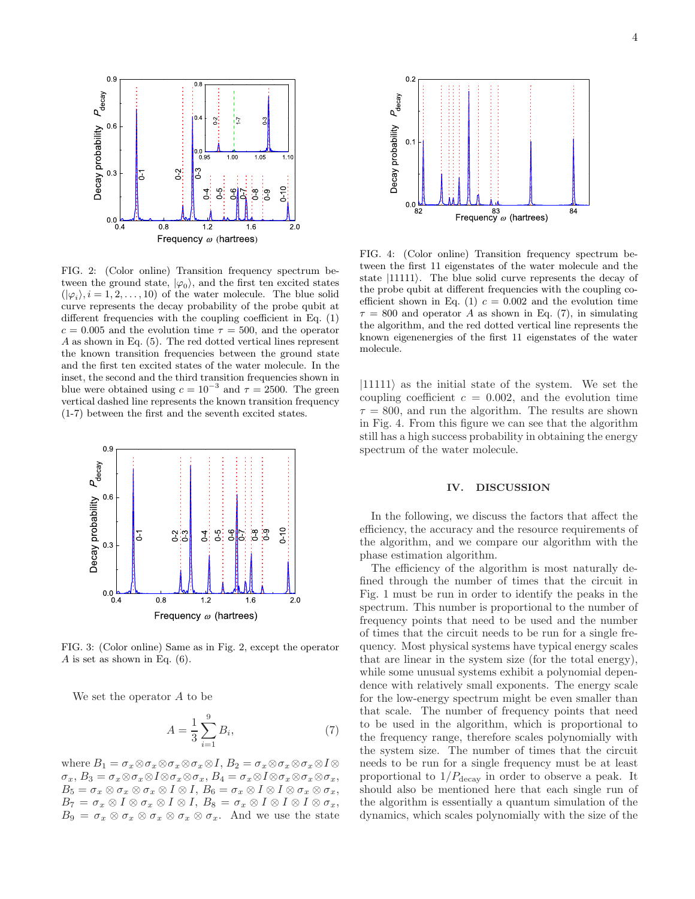

FIG. 2: (Color online) Transition frequency spectrum between the ground state,  $|\varphi_0\rangle$ , and the first ten excited states  $(|\varphi_i\rangle, i = 1, 2, \ldots, 10)$  of the water molecule. The blue solid curve represents the decay probability of the probe qubit at different frequencies with the coupling coefficient in Eq. (1)  $c = 0.005$  and the evolution time  $\tau = 500$ , and the operator A as shown in Eq. (5). The red dotted vertical lines represent the known transition frequencies between the ground state and the first ten excited states of the water molecule. In the inset, the second and the third transition frequencies shown in blue were obtained using  $c = 10^{-3}$  and  $\tau = 2500$ . The green vertical dashed line represents the known transition frequency (1-7) between the first and the seventh excited states.



FIG. 3: (Color online) Same as in Fig. 2, except the operator A is set as shown in Eq.  $(6)$ .

We set the operator A to be

$$
A = \frac{1}{3} \sum_{i=1}^{9} B_i,
$$
 (7)

where  $B_1 = \sigma_x \otimes \sigma_x \otimes \sigma_x \otimes \sigma_x \otimes I$ ,  $B_2 = \sigma_x \otimes \sigma_x \otimes \sigma_x \otimes I \otimes \sigma_x \otimes \sigma_x$  $\sigma_x, B_3 = \sigma_x \otimes \sigma_x \otimes I \otimes \sigma_x \otimes \sigma_x, B_4 = \sigma_x \otimes I \otimes \sigma_x \otimes \sigma_x \otimes \sigma_x,$  $B_5 = \sigma_x \otimes \sigma_x \otimes \sigma_x \otimes I \otimes I$ ,  $B_6 = \sigma_x \otimes I \otimes I \otimes \sigma_x \otimes \sigma_x$ ,  $B_7 = \sigma_x \otimes I \otimes \sigma_x \otimes I \otimes I, \ B_8 = \sigma_x \otimes I \otimes I \otimes I \otimes \sigma_x,$  $B_9 = \sigma_x \otimes \sigma_x \otimes \sigma_x \otimes \sigma_x \otimes \sigma_x$ . And we use the state



FIG. 4: (Color online) Transition frequency spectrum between the first 11 eigenstates of the water molecule and the state  $|11111\rangle$ . The blue solid curve represents the decay of the probe qubit at different frequencies with the coupling coefficient shown in Eq. (1)  $c = 0.002$  and the evolution time  $\tau = 800$  and operator A as shown in Eq. (7), in simulating the algorithm, and the red dotted vertical line represents the known eigenenergies of the first 11 eigenstates of the water molecule.

 $|11111\rangle$  as the initial state of the system. We set the coupling coefficient  $c = 0.002$ , and the evolution time  $\tau = 800$ , and run the algorithm. The results are shown in Fig. 4. From this figure we can see that the algorithm still has a high success probability in obtaining the energy spectrum of the water molecule.

### <span id="page-3-0"></span>IV. DISCUSSION

In the following, we discuss the factors that affect the efficiency, the accuracy and the resource requirements of the algorithm, and we compare our algorithm with the phase estimation algorithm.

The efficiency of the algorithm is most naturally defined through the number of times that the circuit in Fig. 1 must be run in order to identify the peaks in the spectrum. This number is proportional to the number of frequency points that need to be used and the number of times that the circuit needs to be run for a single frequency. Most physical systems have typical energy scales that are linear in the system size (for the total energy), while some unusual systems exhibit a polynomial dependence with relatively small exponents. The energy scale for the low-energy spectrum might be even smaller than that scale. The number of frequency points that need to be used in the algorithm, which is proportional to the frequency range, therefore scales polynomially with the system size. The number of times that the circuit needs to be run for a single frequency must be at least proportional to  $1/P_{\text{decay}}$  in order to observe a peak. It should also be mentioned here that each single run of the algorithm is essentially a quantum simulation of the dynamics, which scales polynomially with the size of the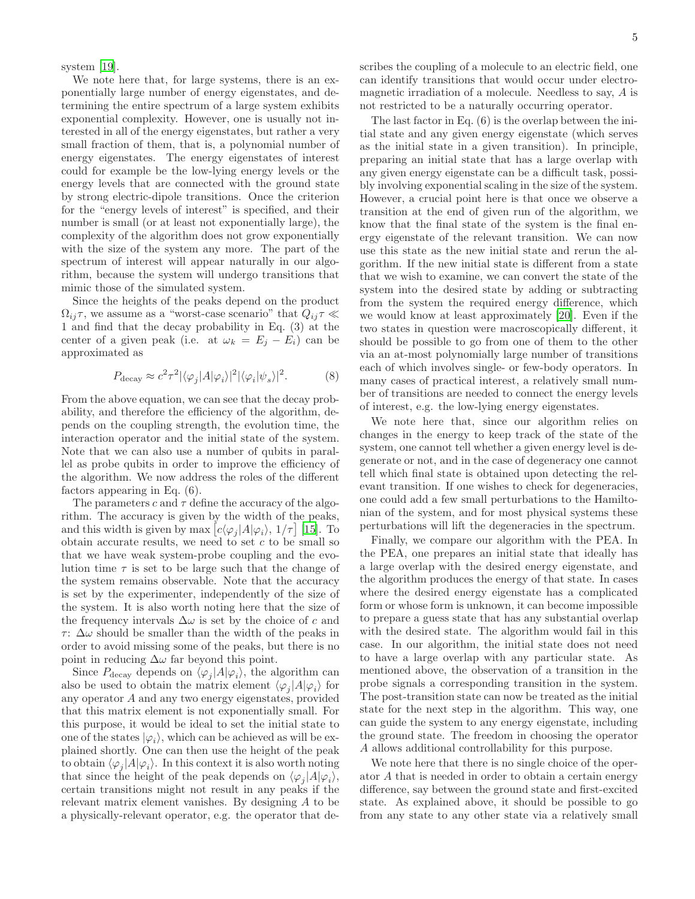system [\[19\]](#page-5-9).

We note here that, for large systems, there is an exponentially large number of energy eigenstates, and determining the entire spectrum of a large system exhibits exponential complexity. However, one is usually not interested in all of the energy eigenstates, but rather a very small fraction of them, that is, a polynomial number of energy eigenstates. The energy eigenstates of interest could for example be the low-lying energy levels or the energy levels that are connected with the ground state by strong electric-dipole transitions. Once the criterion for the "energy levels of interest" is specified, and their number is small (or at least not exponentially large), the complexity of the algorithm does not grow exponentially with the size of the system any more. The part of the spectrum of interest will appear naturally in our algorithm, because the system will undergo transitions that mimic those of the simulated system.

Since the heights of the peaks depend on the product  $\Omega_{ij}\tau$ , we assume as a "worst-case scenario" that  $Q_{ij}\tau \ll \tau$ 1 and find that the decay probability in Eq. (3) at the center of a given peak (i.e. at  $\omega_k = E_i - E_i$ ) can be approximated as

$$
P_{\text{decay}} \approx c^2 \tau^2 |\langle \varphi_j | A | \varphi_i \rangle|^2 |\langle \varphi_i | \psi_s \rangle|^2. \tag{8}
$$

From the above equation, we can see that the decay probability, and therefore the efficiency of the algorithm, depends on the coupling strength, the evolution time, the interaction operator and the initial state of the system. Note that we can also use a number of qubits in parallel as probe qubits in order to improve the efficiency of the algorithm. We now address the roles of the different factors appearing in Eq. (6).

The parameters c and  $\tau$  define the accuracy of the algorithm. The accuracy is given by the width of the peaks, and this width is given by  $\max [c \langle \varphi_j | A | \varphi_i \rangle, 1/\tau]$  [\[15](#page-5-10)]. To obtain accurate results, we need to set  $c$  to be small so that we have weak system-probe coupling and the evolution time  $\tau$  is set to be large such that the change of the system remains observable. Note that the accuracy is set by the experimenter, independently of the size of the system. It is also worth noting here that the size of the frequency intervals  $\Delta\omega$  is set by the choice of c and τ:  $\Delta\omega$  should be smaller than the width of the peaks in order to avoid missing some of the peaks, but there is no point in reducing  $\Delta\omega$  far beyond this point.

Since  $P_{\text{decay}}$  depends on  $\langle \varphi_j | A | \varphi_i \rangle$ , the algorithm can also be used to obtain the matrix element  $\langle \varphi_j | A | \varphi_i \rangle$  for any operator A and any two energy eigenstates, provided that this matrix element is not exponentially small. For this purpose, it would be ideal to set the initial state to one of the states  $|\varphi_i\rangle$ , which can be achieved as will be explained shortly. One can then use the height of the peak to obtain  $\langle \varphi_j | A | \varphi_i \rangle$ . In this context it is also worth noting that since the height of the peak depends on  $\langle \varphi_j | A | \varphi_i \rangle$ , certain transitions might not result in any peaks if the relevant matrix element vanishes. By designing A to be a physically-relevant operator, e.g. the operator that describes the coupling of a molecule to an electric field, one can identify transitions that would occur under electromagnetic irradiation of a molecule. Needless to say, A is not restricted to be a naturally occurring operator.

The last factor in Eq. (6) is the overlap between the initial state and any given energy eigenstate (which serves as the initial state in a given transition). In principle, preparing an initial state that has a large overlap with any given energy eigenstate can be a difficult task, possibly involving exponential scaling in the size of the system. However, a crucial point here is that once we observe a transition at the end of given run of the algorithm, we know that the final state of the system is the final energy eigenstate of the relevant transition. We can now use this state as the new initial state and rerun the algorithm. If the new initial state is different from a state that we wish to examine, we can convert the state of the system into the desired state by adding or subtracting from the system the required energy difference, which we would know at least approximately [\[20\]](#page-5-11). Even if the two states in question were macroscopically different, it should be possible to go from one of them to the other via an at-most polynomially large number of transitions each of which involves single- or few-body operators. In many cases of practical interest, a relatively small number of transitions are needed to connect the energy levels of interest, e.g. the low-lying energy eigenstates.

We note here that, since our algorithm relies on changes in the energy to keep track of the state of the system, one cannot tell whether a given energy level is degenerate or not, and in the case of degeneracy one cannot tell which final state is obtained upon detecting the relevant transition. If one wishes to check for degeneracies, one could add a few small perturbations to the Hamiltonian of the system, and for most physical systems these perturbations will lift the degeneracies in the spectrum.

Finally, we compare our algorithm with the PEA. In the PEA, one prepares an initial state that ideally has a large overlap with the desired energy eigenstate, and the algorithm produces the energy of that state. In cases where the desired energy eigenstate has a complicated form or whose form is unknown, it can become impossible to prepare a guess state that has any substantial overlap with the desired state. The algorithm would fail in this case. In our algorithm, the initial state does not need to have a large overlap with any particular state. As mentioned above, the observation of a transition in the probe signals a corresponding transition in the system. The post-transition state can now be treated as the initial state for the next step in the algorithm. This way, one can guide the system to any energy eigenstate, including the ground state. The freedom in choosing the operator A allows additional controllability for this purpose.

We note here that there is no single choice of the operator A that is needed in order to obtain a certain energy difference, say between the ground state and first-excited state. As explained above, it should be possible to go from any state to any other state via a relatively small